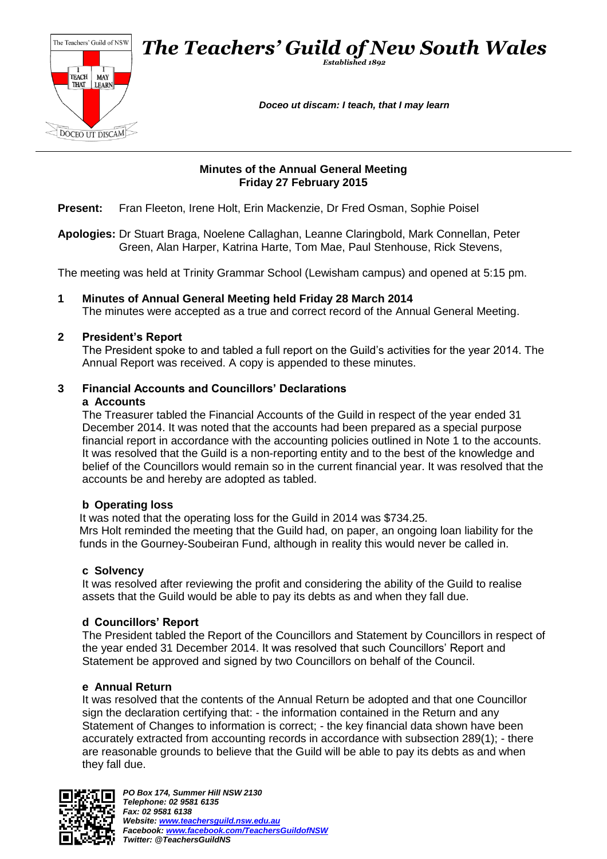

## **Minutes of the Annual General Meeting Friday 27 February 2015**

**Present:** Fran Fleeton, Irene Holt, Erin Mackenzie, Dr Fred Osman, Sophie Poisel

**Apologies:** Dr Stuart Braga, Noelene Callaghan, Leanne Claringbold, Mark Connellan, Peter Green, Alan Harper, Katrina Harte, Tom Mae, Paul Stenhouse, Rick Stevens,

The meeting was held at Trinity Grammar School (Lewisham campus) and opened at 5:15 pm.

**1 Minutes of Annual General Meeting held Friday 28 March 2014** The minutes were accepted as a true and correct record of the Annual General Meeting.

## **2 President's Report**

The President spoke to and tabled a full report on the Guild's activities for the year 2014. The Annual Report was received. A copy is appended to these minutes.

#### **3 Financial Accounts and Councillors' Declarations a Accounts**

The Treasurer tabled the Financial Accounts of the Guild in respect of the year ended 31 December 2014. It was noted that the accounts had been prepared as a special purpose financial report in accordance with the accounting policies outlined in Note 1 to the accounts. It was resolved that the Guild is a non-reporting entity and to the best of the knowledge and belief of the Councillors would remain so in the current financial year. It was resolved that the accounts be and hereby are adopted as tabled.

## **b Operating loss**

It was noted that the operating loss for the Guild in 2014 was \$734.25. Mrs Holt reminded the meeting that the Guild had, on paper, an ongoing loan liability for the funds in the Gourney-Soubeiran Fund, although in reality this would never be called in.

#### **c Solvency**

It was resolved after reviewing the profit and considering the ability of the Guild to realise assets that the Guild would be able to pay its debts as and when they fall due.

## **d Councillors' Report**

The President tabled the Report of the Councillors and Statement by Councillors in respect of the year ended 31 December 2014. It was resolved that such Councillors' Report and Statement be approved and signed by two Councillors on behalf of the Council.

#### **e Annual Return**

It was resolved that the contents of the Annual Return be adopted and that one Councillor sign the declaration certifying that: - the information contained in the Return and any Statement of Changes to information is correct; - the key financial data shown have been accurately extracted from accounting records in accordance with subsection 289(1); - there are reasonable grounds to believe that the Guild will be able to pay its debts as and when they fall due.

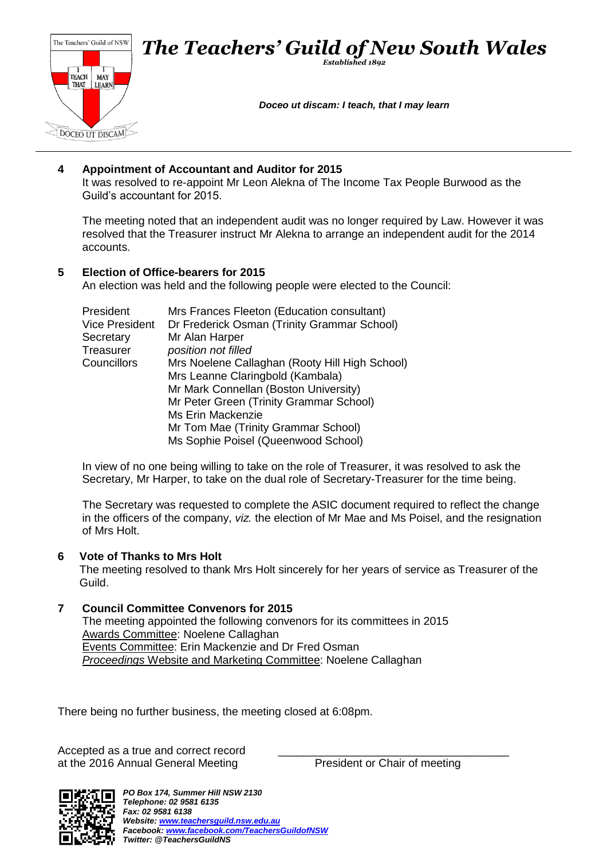

# **4 Appointment of Accountant and Auditor for 2015**

It was resolved to re-appoint Mr Leon Alekna of The Income Tax People Burwood as the Guild's accountant for 2015.

The meeting noted that an independent audit was no longer required by Law. However it was resolved that the Treasurer instruct Mr Alekna to arrange an independent audit for the 2014 accounts.

## **5 Election of Office-bearers for 2015**

An election was held and the following people were elected to the Council:

| President             | Mrs Frances Fleeton (Education consultant)     |  |
|-----------------------|------------------------------------------------|--|
| <b>Vice President</b> | Dr Frederick Osman (Trinity Grammar School)    |  |
| Secretary             | Mr Alan Harper                                 |  |
| Treasurer             | position not filled                            |  |
| Councillors           | Mrs Noelene Callaghan (Rooty Hill High School) |  |
|                       | Mrs Leanne Claringbold (Kambala)               |  |
|                       | Mr Mark Connellan (Boston University)          |  |
|                       | Mr Peter Green (Trinity Grammar School)        |  |
|                       | Ms Erin Mackenzie                              |  |
|                       | Mr Tom Mae (Trinity Grammar School)            |  |
|                       | Ms Sophie Poisel (Queenwood School)            |  |

In view of no one being willing to take on the role of Treasurer, it was resolved to ask the Secretary, Mr Harper, to take on the dual role of Secretary-Treasurer for the time being.

The Secretary was requested to complete the ASIC document required to reflect the change in the officers of the company, *viz.* the election of Mr Mae and Ms Poisel, and the resignation of Mrs Holt.

## **6 Vote of Thanks to Mrs Holt**

The meeting resolved to thank Mrs Holt sincerely for her years of service as Treasurer of the Guild.

## **7 Council Committee Convenors for 2015**

The meeting appointed the following convenors for its committees in 2015 Awards Committee: Noelene Callaghan Events Committee: Erin Mackenzie and Dr Fred Osman *Proceedings* Website and Marketing Committee: Noelene Callaghan

There being no further business, the meeting closed at 6:08pm.

Accepted as a true and correct record at the 2016 Annual General Meeting President or Chair of meeting

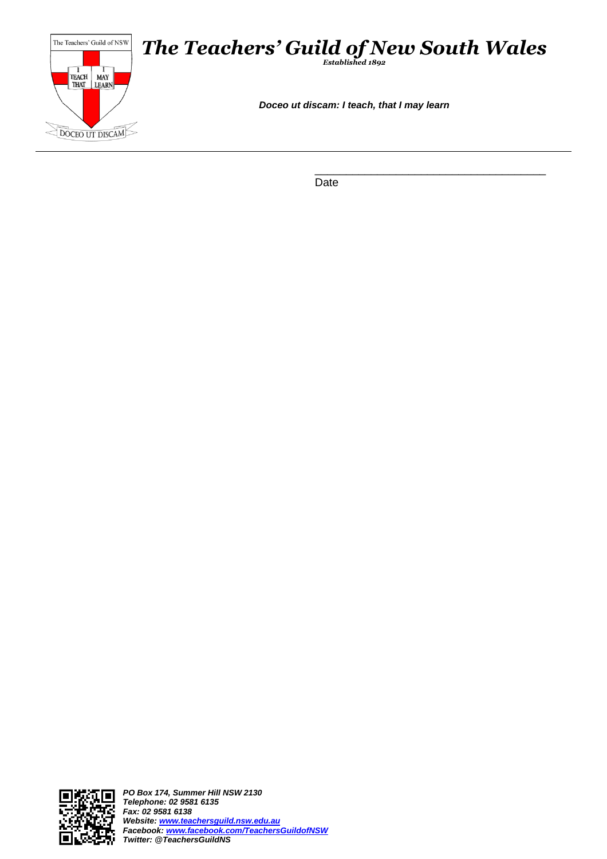

\_\_\_\_\_\_\_\_\_\_\_\_\_\_\_\_\_\_\_\_\_\_\_\_\_\_\_\_\_\_\_\_\_\_\_\_\_ Date

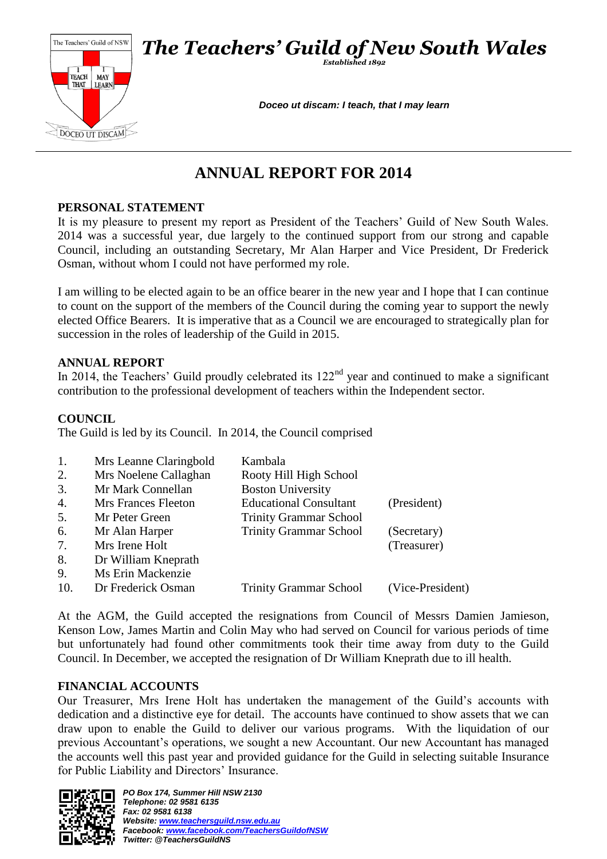



*Established 1892*

*Doceo ut discam: I teach, that I may learn*

# **ANNUAL REPORT FOR 2014**

# **PERSONAL STATEMENT**

It is my pleasure to present my report as President of the Teachers' Guild of New South Wales. 2014 was a successful year, due largely to the continued support from our strong and capable Council, including an outstanding Secretary, Mr Alan Harper and Vice President, Dr Frederick Osman, without whom I could not have performed my role.

I am willing to be elected again to be an office bearer in the new year and I hope that I can continue to count on the support of the members of the Council during the coming year to support the newly elected Office Bearers. It is imperative that as a Council we are encouraged to strategically plan for succession in the roles of leadership of the Guild in 2015.

## **ANNUAL REPORT**

In 2014, the Teachers' Guild proudly celebrated its  $122<sup>nd</sup>$  year and continued to make a significant contribution to the professional development of teachers within the Independent sector.

# **COUNCIL**

The Guild is led by its Council. In 2014, the Council comprised

| 1.               | Mrs Leanne Claringbold | Kambala                       |                  |
|------------------|------------------------|-------------------------------|------------------|
| 2.               | Mrs Noelene Callaghan  | Rooty Hill High School        |                  |
| 3.               | Mr Mark Connellan      | <b>Boston University</b>      |                  |
| $\overline{4}$ . | Mrs Frances Fleeton    | <b>Educational Consultant</b> | (President)      |
| 5.               | Mr Peter Green         | <b>Trinity Grammar School</b> |                  |
| 6.               | Mr Alan Harper         | <b>Trinity Grammar School</b> | (Secretary)      |
| 7.               | Mrs Irene Holt         |                               | (Treasurer)      |
| 8.               | Dr William Kneprath    |                               |                  |
| 9.               | Ms Erin Mackenzie      |                               |                  |
| 10.              | Dr Frederick Osman     | <b>Trinity Grammar School</b> | (Vice-President) |
|                  |                        |                               |                  |

At the AGM, the Guild accepted the resignations from Council of Messrs Damien Jamieson, Kenson Low, James Martin and Colin May who had served on Council for various periods of time but unfortunately had found other commitments took their time away from duty to the Guild Council. In December, we accepted the resignation of Dr William Kneprath due to ill health.

# **FINANCIAL ACCOUNTS**

Our Treasurer, Mrs Irene Holt has undertaken the management of the Guild's accounts with dedication and a distinctive eye for detail. The accounts have continued to show assets that we can draw upon to enable the Guild to deliver our various programs. With the liquidation of our previous Accountant's operations, we sought a new Accountant. Our new Accountant has managed the accounts well this past year and provided guidance for the Guild in selecting suitable Insurance for Public Liability and Directors' Insurance.

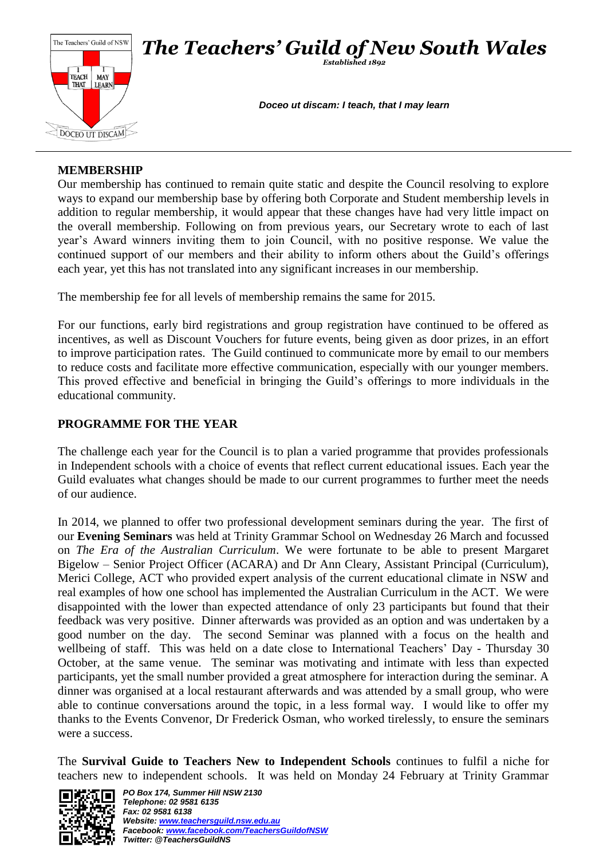

# **MEMBERSHIP**

Our membership has continued to remain quite static and despite the Council resolving to explore ways to expand our membership base by offering both Corporate and Student membership levels in addition to regular membership, it would appear that these changes have had very little impact on the overall membership. Following on from previous years, our Secretary wrote to each of last year's Award winners inviting them to join Council, with no positive response. We value the continued support of our members and their ability to inform others about the Guild's offerings each year, yet this has not translated into any significant increases in our membership.

The membership fee for all levels of membership remains the same for 2015.

For our functions, early bird registrations and group registration have continued to be offered as incentives, as well as Discount Vouchers for future events, being given as door prizes, in an effort to improve participation rates. The Guild continued to communicate more by email to our members to reduce costs and facilitate more effective communication, especially with our younger members. This proved effective and beneficial in bringing the Guild's offerings to more individuals in the educational community.

# **PROGRAMME FOR THE YEAR**

The challenge each year for the Council is to plan a varied programme that provides professionals in Independent schools with a choice of events that reflect current educational issues. Each year the Guild evaluates what changes should be made to our current programmes to further meet the needs of our audience.

In 2014, we planned to offer two professional development seminars during the year. The first of our **Evening Seminars** was held at Trinity Grammar School on Wednesday 26 March and focussed on *The Era of the Australian Curriculum*. We were fortunate to be able to present Margaret Bigelow – Senior Project Officer (ACARA) and Dr Ann Cleary, Assistant Principal (Curriculum), Merici College, ACT who provided expert analysis of the current educational climate in NSW and real examples of how one school has implemented the Australian Curriculum in the ACT. We were disappointed with the lower than expected attendance of only 23 participants but found that their feedback was very positive. Dinner afterwards was provided as an option and was undertaken by a good number on the day. The second Seminar was planned with a focus on the health and wellbeing of staff. This was held on a date close to International Teachers' Day - Thursday 30 October, at the same venue. The seminar was motivating and intimate with less than expected participants, yet the small number provided a great atmosphere for interaction during the seminar. A dinner was organised at a local restaurant afterwards and was attended by a small group, who were able to continue conversations around the topic, in a less formal way. I would like to offer my thanks to the Events Convenor, Dr Frederick Osman, who worked tirelessly, to ensure the seminars were a success.

The **Survival Guide to Teachers New to Independent Schools** continues to fulfil a niche for teachers new to independent schools. It was held on Monday 24 February at Trinity Grammar

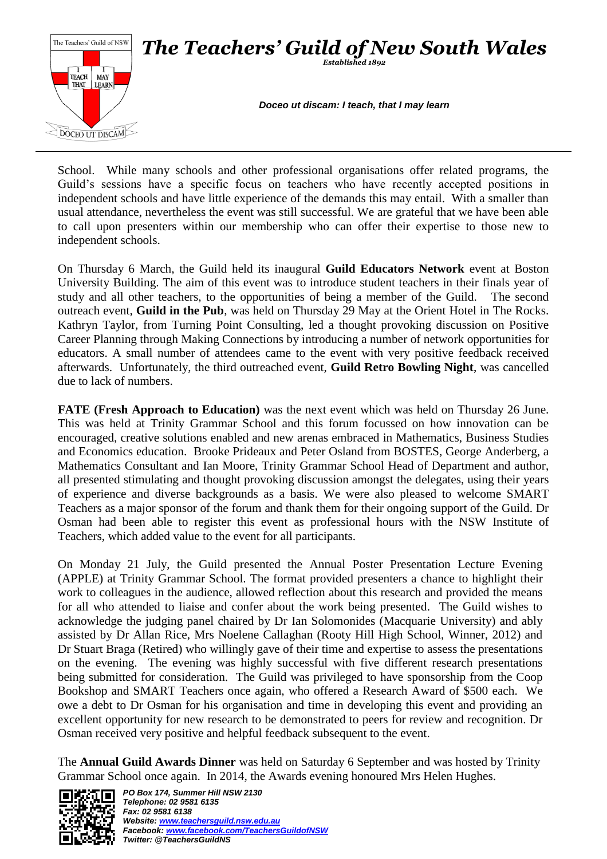

School. While many schools and other professional organisations offer related programs, the Guild's sessions have a specific focus on teachers who have recently accepted positions in independent schools and have little experience of the demands this may entail. With a smaller than usual attendance, nevertheless the event was still successful. We are grateful that we have been able to call upon presenters within our membership who can offer their expertise to those new to independent schools.

On Thursday 6 March, the Guild held its inaugural **Guild Educators Network** event at Boston University Building. The aim of this event was to introduce student teachers in their finals year of study and all other teachers, to the opportunities of being a member of the Guild. The second outreach event, **Guild in the Pub**, was held on Thursday 29 May at the Orient Hotel in The Rocks. Kathryn Taylor, from Turning Point Consulting, led a thought provoking discussion on Positive Career Planning through Making Connections by introducing a number of network opportunities for educators. A small number of attendees came to the event with very positive feedback received afterwards. Unfortunately, the third outreached event, **Guild Retro Bowling Night**, was cancelled due to lack of numbers.

**FATE (Fresh Approach to Education)** was the next event which was held on Thursday 26 June. This was held at Trinity Grammar School and this forum focussed on how innovation can be encouraged, creative solutions enabled and new arenas embraced in Mathematics, Business Studies and Economics education. Brooke Prideaux and Peter Osland from BOSTES, George Anderberg, a Mathematics Consultant and Ian Moore, Trinity Grammar School Head of Department and author, all presented stimulating and thought provoking discussion amongst the delegates, using their years of experience and diverse backgrounds as a basis. We were also pleased to welcome SMART Teachers as a major sponsor of the forum and thank them for their ongoing support of the Guild. Dr Osman had been able to register this event as professional hours with the NSW Institute of Teachers, which added value to the event for all participants.

On Monday 21 July, the Guild presented the Annual Poster Presentation Lecture Evening (APPLE) at Trinity Grammar School. The format provided presenters a chance to highlight their work to colleagues in the audience, allowed reflection about this research and provided the means for all who attended to liaise and confer about the work being presented. The Guild wishes to acknowledge the judging panel chaired by Dr Ian Solomonides (Macquarie University) and ably assisted by Dr Allan Rice, Mrs Noelene Callaghan (Rooty Hill High School, Winner, 2012) and Dr Stuart Braga (Retired) who willingly gave of their time and expertise to assess the presentations on the evening. The evening was highly successful with five different research presentations being submitted for consideration. The Guild was privileged to have sponsorship from the Coop Bookshop and SMART Teachers once again, who offered a Research Award of \$500 each. We owe a debt to Dr Osman for his organisation and time in developing this event and providing an excellent opportunity for new research to be demonstrated to peers for review and recognition. Dr Osman received very positive and helpful feedback subsequent to the event.

The **Annual Guild Awards Dinner** was held on Saturday 6 September and was hosted by Trinity Grammar School once again. In 2014, the Awards evening honoured Mrs Helen Hughes.

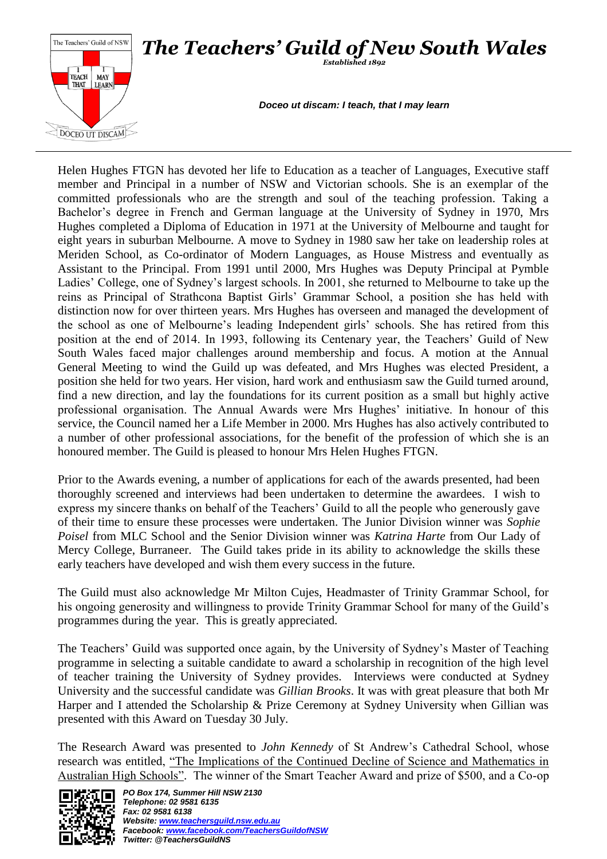

Helen Hughes FTGN has devoted her life to Education as a teacher of Languages, Executive staff member and Principal in a number of NSW and Victorian schools. She is an exemplar of the committed professionals who are the strength and soul of the teaching profession. Taking a Bachelor's degree in French and German language at the University of Sydney in 1970, Mrs Hughes completed a Diploma of Education in 1971 at the University of Melbourne and taught for eight years in suburban Melbourne. A move to Sydney in 1980 saw her take on leadership roles at Meriden School, as Co-ordinator of Modern Languages, as House Mistress and eventually as Assistant to the Principal. From 1991 until 2000, Mrs Hughes was Deputy Principal at Pymble Ladies' College, one of Sydney's largest schools. In 2001, she returned to Melbourne to take up the reins as Principal of Strathcona Baptist Girls' Grammar School, a position she has held with distinction now for over thirteen years. Mrs Hughes has overseen and managed the development of the school as one of Melbourne's leading Independent girls' schools. She has retired from this position at the end of 2014. In 1993, following its Centenary year, the Teachers' Guild of New South Wales faced major challenges around membership and focus. A motion at the Annual General Meeting to wind the Guild up was defeated, and Mrs Hughes was elected President, a position she held for two years. Her vision, hard work and enthusiasm saw the Guild turned around, find a new direction, and lay the foundations for its current position as a small but highly active professional organisation. The Annual Awards were Mrs Hughes' initiative. In honour of this service, the Council named her a Life Member in 2000. Mrs Hughes has also actively contributed to a number of other professional associations, for the benefit of the profession of which she is an honoured member. The Guild is pleased to honour Mrs Helen Hughes FTGN.

Prior to the Awards evening, a number of applications for each of the awards presented, had been thoroughly screened and interviews had been undertaken to determine the awardees. I wish to express my sincere thanks on behalf of the Teachers' Guild to all the people who generously gave of their time to ensure these processes were undertaken. The Junior Division winner was *Sophie Poisel* from MLC School and the Senior Division winner was *Katrina Harte* from Our Lady of Mercy College, Burraneer. The Guild takes pride in its ability to acknowledge the skills these early teachers have developed and wish them every success in the future.

The Guild must also acknowledge Mr Milton Cujes, Headmaster of Trinity Grammar School, for his ongoing generosity and willingness to provide Trinity Grammar School for many of the Guild's programmes during the year. This is greatly appreciated.

The Teachers' Guild was supported once again, by the University of Sydney's Master of Teaching programme in selecting a suitable candidate to award a scholarship in recognition of the high level of teacher training the University of Sydney provides. Interviews were conducted at Sydney University and the successful candidate was *Gillian Brooks*. It was with great pleasure that both Mr Harper and I attended the Scholarship & Prize Ceremony at Sydney University when Gillian was presented with this Award on Tuesday 30 July.

The Research Award was presented to *John Kennedy* of St Andrew's Cathedral School, whose research was entitled, "The Implications of the Continued Decline of Science and Mathematics in Australian High Schools". The winner of the Smart Teacher Award and prize of \$500, and a Co-op

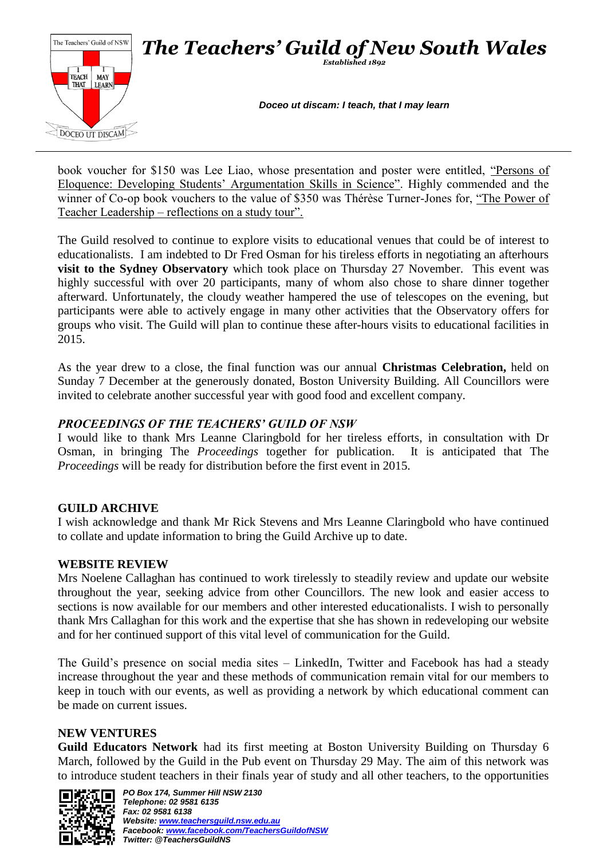

book voucher for \$150 was Lee Liao, whose presentation and poster were entitled, "Persons of Eloquence: Developing Students' Argumentation Skills in Science". Highly commended and the winner of Co-op book vouchers to the value of \$350 was Thérèse Turner-Jones for, "The Power of Teacher Leadership – reflections on a study tour".

The Guild resolved to continue to explore visits to educational venues that could be of interest to educationalists. I am indebted to Dr Fred Osman for his tireless efforts in negotiating an afterhours **visit to the Sydney Observatory** which took place on Thursday 27 November. This event was highly successful with over 20 participants, many of whom also chose to share dinner together afterward. Unfortunately, the cloudy weather hampered the use of telescopes on the evening, but participants were able to actively engage in many other activities that the Observatory offers for groups who visit. The Guild will plan to continue these after-hours visits to educational facilities in 2015.

As the year drew to a close, the final function was our annual **Christmas Celebration,** held on Sunday 7 December at the generously donated, Boston University Building. All Councillors were invited to celebrate another successful year with good food and excellent company.

# *PROCEEDINGS OF THE TEACHERS' GUILD OF NSW*

I would like to thank Mrs Leanne Claringbold for her tireless efforts, in consultation with Dr Osman, in bringing The *Proceedings* together for publication. It is anticipated that The *Proceedings* will be ready for distribution before the first event in 2015.

# **GUILD ARCHIVE**

I wish acknowledge and thank Mr Rick Stevens and Mrs Leanne Claringbold who have continued to collate and update information to bring the Guild Archive up to date.

# **WEBSITE REVIEW**

Mrs Noelene Callaghan has continued to work tirelessly to steadily review and update our website throughout the year, seeking advice from other Councillors. The new look and easier access to sections is now available for our members and other interested educationalists. I wish to personally thank Mrs Callaghan for this work and the expertise that she has shown in redeveloping our website and for her continued support of this vital level of communication for the Guild.

The Guild's presence on social media sites – LinkedIn, Twitter and Facebook has had a steady increase throughout the year and these methods of communication remain vital for our members to keep in touch with our events, as well as providing a network by which educational comment can be made on current issues.

## **NEW VENTURES**

**Guild Educators Network** had its first meeting at Boston University Building on Thursday 6 March, followed by the Guild in the Pub event on Thursday 29 May. The aim of this network was to introduce student teachers in their finals year of study and all other teachers, to the opportunities